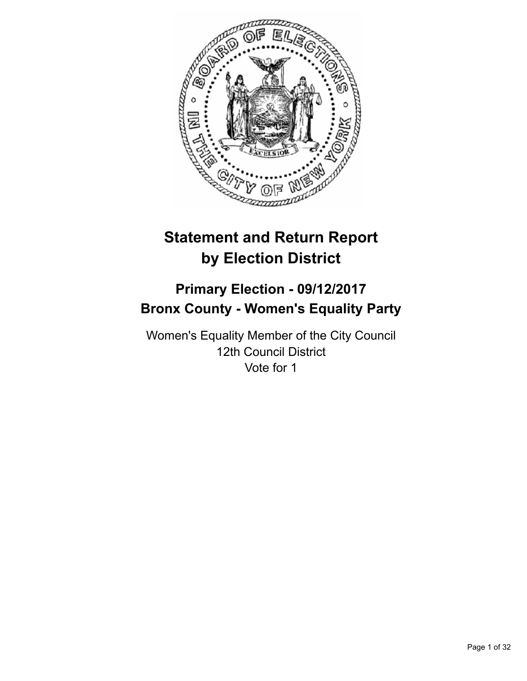

# **Statement and Return Report by Election District**

# **Primary Election - 09/12/2017 Bronx County - Women's Equality Party**

Women's Equality Member of the City Council 12th Council District Vote for 1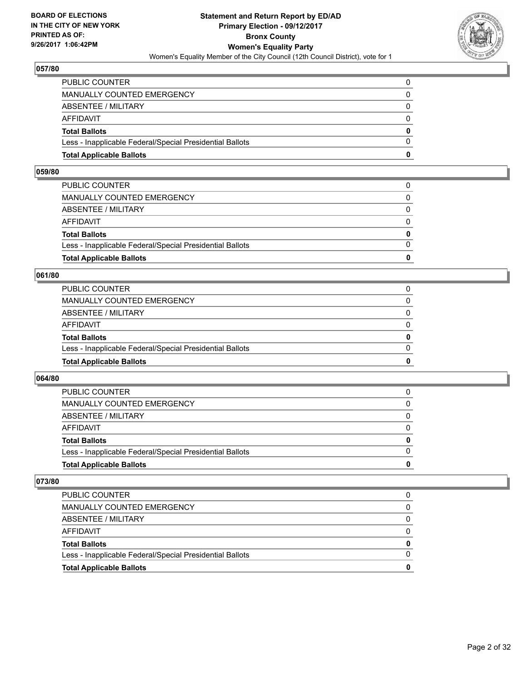

| <b>Total Applicable Ballots</b>                          | n            |
|----------------------------------------------------------|--------------|
| Less - Inapplicable Federal/Special Presidential Ballots | $\Omega$     |
| <b>Total Ballots</b>                                     | $\mathbf{0}$ |
| AFFIDAVIT                                                | $\Omega$     |
| <b>ABSENTEE / MILITARY</b>                               | $\Omega$     |
| MANUALLY COUNTED EMERGENCY                               | 0            |
| PUBLIC COUNTER                                           | 0            |

#### **059/80**

| PUBLIC COUNTER                                           | 0        |
|----------------------------------------------------------|----------|
| MANUALLY COUNTED EMERGENCY                               | $\Omega$ |
| ABSENTEE / MILITARY                                      | $\Omega$ |
| AFFIDAVIT                                                | $\Omega$ |
| <b>Total Ballots</b>                                     | 0        |
| Less - Inapplicable Federal/Special Presidential Ballots | $\Omega$ |
| <b>Total Applicable Ballots</b>                          | 0        |
|                                                          |          |

#### **061/80**

| <b>Total Applicable Ballots</b>                          | 0        |
|----------------------------------------------------------|----------|
| Less - Inapplicable Federal/Special Presidential Ballots | $\Omega$ |
| <b>Total Ballots</b>                                     | 0        |
| <b>AFFIDAVIT</b>                                         | 0        |
| ABSENTEE / MILITARY                                      | $\Omega$ |
| <b>MANUALLY COUNTED EMERGENCY</b>                        | 0        |
| PUBLIC COUNTER                                           |          |

# **064/80**

| <b>Total Applicable Ballots</b>                          | 0        |
|----------------------------------------------------------|----------|
| Less - Inapplicable Federal/Special Presidential Ballots |          |
| <b>Total Ballots</b>                                     | $\bf{0}$ |
| <b>AFFIDAVIT</b>                                         |          |
| ABSENTEE / MILITARY                                      | 0        |
| MANUALLY COUNTED EMERGENCY                               | 0        |
| <b>PUBLIC COUNTER</b>                                    | 0        |

| <b>Total Applicable Ballots</b>                          | 0 |
|----------------------------------------------------------|---|
| Less - Inapplicable Federal/Special Presidential Ballots |   |
| <b>Total Ballots</b>                                     | 0 |
| AFFIDAVIT                                                |   |
| ABSENTEE / MILITARY                                      |   |
| MANUALLY COUNTED EMERGENCY                               | 0 |
| PUBLIC COUNTER                                           |   |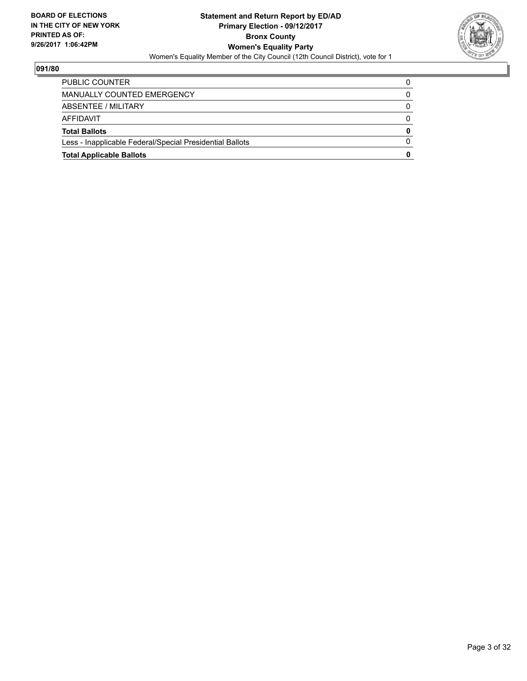

| <b>Total Applicable Ballots</b>                          | 0        |
|----------------------------------------------------------|----------|
| Less - Inapplicable Federal/Special Presidential Ballots | 0        |
| <b>Total Ballots</b>                                     | $\bf{0}$ |
| AFFIDAVIT                                                | 0        |
| ABSENTEE / MILITARY                                      | $\Omega$ |
| MANUALLY COUNTED EMERGENCY                               |          |
| <b>PUBLIC COUNTER</b>                                    | 0        |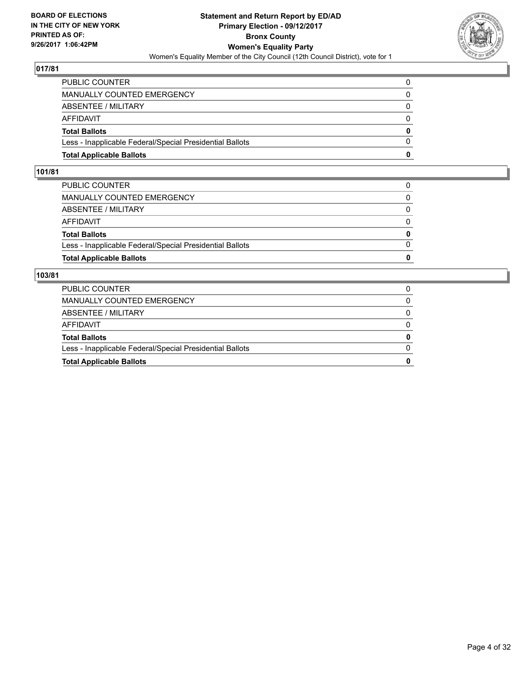

| <b>Total Applicable Ballots</b>                          | o            |
|----------------------------------------------------------|--------------|
| Less - Inapplicable Federal/Special Presidential Ballots | $\Omega$     |
| <b>Total Ballots</b>                                     | $\mathbf{0}$ |
| AFFIDAVIT                                                | $\Omega$     |
| <b>ABSENTEE / MILITARY</b>                               | 0            |
| <b>MANUALLY COUNTED EMERGENCY</b>                        | 0            |
| PUBLIC COUNTER                                           |              |

#### **101/81**

| <b>Total Applicable Ballots</b>                          | $\bf{0}$     |
|----------------------------------------------------------|--------------|
| Less - Inapplicable Federal/Special Presidential Ballots | $\Omega$     |
| <b>Total Ballots</b>                                     | 0            |
| AFFIDAVIT                                                | 0            |
| ABSENTEE / MILITARY                                      | $\Omega$     |
| MANUALLY COUNTED EMERGENCY                               | $\mathbf{0}$ |
| PUBLIC COUNTER                                           | 0            |
|                                                          |              |

| <b>Total Applicable Ballots</b>                          | 0            |
|----------------------------------------------------------|--------------|
| Less - Inapplicable Federal/Special Presidential Ballots | 0            |
| <b>Total Ballots</b>                                     | 0            |
| AFFIDAVIT                                                | 0            |
| ABSENTEE / MILITARY                                      | 0            |
| MANUALLY COUNTED EMERGENCY                               | $\mathbf{0}$ |
| <b>PUBLIC COUNTER</b>                                    |              |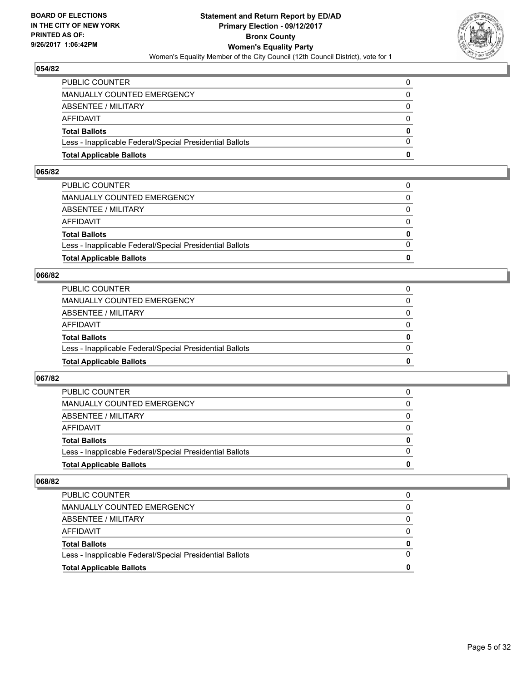

| <b>Total Applicable Ballots</b>                          | o            |
|----------------------------------------------------------|--------------|
| Less - Inapplicable Federal/Special Presidential Ballots | 0            |
| <b>Total Ballots</b>                                     | $\mathbf{0}$ |
| AFFIDAVIT                                                | $\Omega$     |
| ABSENTEE / MILITARY                                      | 0            |
| MANUALLY COUNTED EMERGENCY                               | $\Omega$     |
| PUBLIC COUNTER                                           | 0            |

#### **065/82**

| PUBLIC COUNTER                                           | 0        |
|----------------------------------------------------------|----------|
| MANUALLY COUNTED EMERGENCY                               | $\Omega$ |
| ABSENTEE / MILITARY                                      | $\Omega$ |
| AFFIDAVIT                                                | $\Omega$ |
| <b>Total Ballots</b>                                     | 0        |
| Less - Inapplicable Federal/Special Presidential Ballots | $\Omega$ |
| <b>Total Applicable Ballots</b>                          | 0        |
|                                                          |          |

# **066/82**

| <b>Total Applicable Ballots</b>                          | 0        |
|----------------------------------------------------------|----------|
| Less - Inapplicable Federal/Special Presidential Ballots | $\Omega$ |
| <b>Total Ballots</b>                                     | 0        |
| <b>AFFIDAVIT</b>                                         | 0        |
| ABSENTEE / MILITARY                                      | $\Omega$ |
| <b>MANUALLY COUNTED EMERGENCY</b>                        | 0        |
| PUBLIC COUNTER                                           |          |

# **067/82**

| <b>Total Applicable Ballots</b>                          | 0        |
|----------------------------------------------------------|----------|
| Less - Inapplicable Federal/Special Presidential Ballots |          |
| <b>Total Ballots</b>                                     | $\bf{0}$ |
| <b>AFFIDAVIT</b>                                         |          |
| ABSENTEE / MILITARY                                      | 0        |
| MANUALLY COUNTED EMERGENCY                               | 0        |
| <b>PUBLIC COUNTER</b>                                    | 0        |

| <b>Total Applicable Ballots</b>                          |   |
|----------------------------------------------------------|---|
| Less - Inapplicable Federal/Special Presidential Ballots |   |
| <b>Total Ballots</b>                                     | 0 |
| AFFIDAVIT                                                |   |
| ABSENTEE / MILITARY                                      |   |
| MANUALLY COUNTED EMERGENCY                               |   |
| <b>PUBLIC COUNTER</b>                                    |   |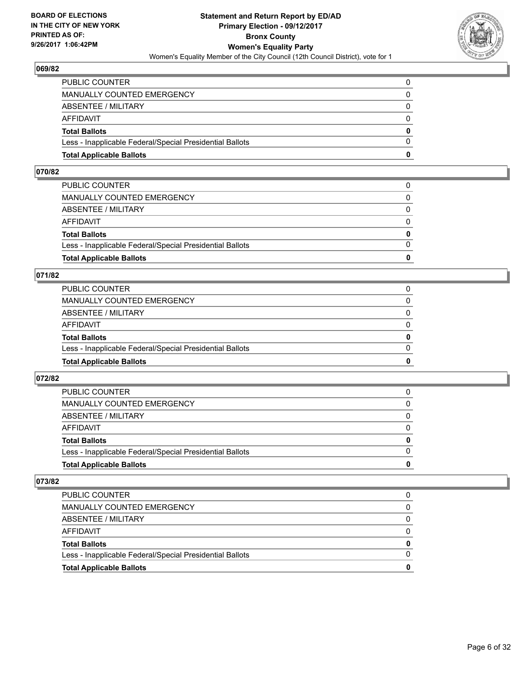

| <b>Total Applicable Ballots</b>                          | o            |
|----------------------------------------------------------|--------------|
| Less - Inapplicable Federal/Special Presidential Ballots | 0            |
| <b>Total Ballots</b>                                     | $\mathbf{0}$ |
| <b>AFFIDAVIT</b>                                         | $\Omega$     |
| <b>ABSENTEE / MILITARY</b>                               | 0            |
| <b>MANUALLY COUNTED EMERGENCY</b>                        | $\Omega$     |
| PUBLIC COUNTER                                           | 0            |

#### **070/82**

| <b>Total Applicable Ballots</b>                          | n            |
|----------------------------------------------------------|--------------|
| Less - Inapplicable Federal/Special Presidential Ballots | $\Omega$     |
| <b>Total Ballots</b>                                     | $\mathbf{0}$ |
| AFFIDAVIT                                                | $\Omega$     |
| ABSENTEE / MILITARY                                      | $\Omega$     |
| MANUALLY COUNTED EMERGENCY                               | 0            |
| PUBLIC COUNTER                                           | 0            |
|                                                          |              |

# **071/82**

| <b>Total Applicable Ballots</b>                          | 0            |
|----------------------------------------------------------|--------------|
| Less - Inapplicable Federal/Special Presidential Ballots | $\Omega$     |
| <b>Total Ballots</b>                                     | $\mathbf{0}$ |
| <b>AFFIDAVIT</b>                                         | $\Omega$     |
| <b>ABSENTEE / MILITARY</b>                               | 0            |
| MANUALLY COUNTED EMERGENCY                               | $\Omega$     |
| PUBLIC COUNTER                                           |              |

# **072/82**

| <b>Total Applicable Ballots</b>                          | 0        |
|----------------------------------------------------------|----------|
| Less - Inapplicable Federal/Special Presidential Ballots |          |
| <b>Total Ballots</b>                                     | $\bf{0}$ |
| <b>AFFIDAVIT</b>                                         |          |
| ABSENTEE / MILITARY                                      | 0        |
| MANUALLY COUNTED EMERGENCY                               | 0        |
| <b>PUBLIC COUNTER</b>                                    | 0        |

| <b>Total Applicable Ballots</b>                          | 0 |
|----------------------------------------------------------|---|
| Less - Inapplicable Federal/Special Presidential Ballots |   |
| <b>Total Ballots</b>                                     | 0 |
| AFFIDAVIT                                                |   |
| ABSENTEE / MILITARY                                      |   |
| MANUALLY COUNTED EMERGENCY                               | 0 |
| PUBLIC COUNTER                                           |   |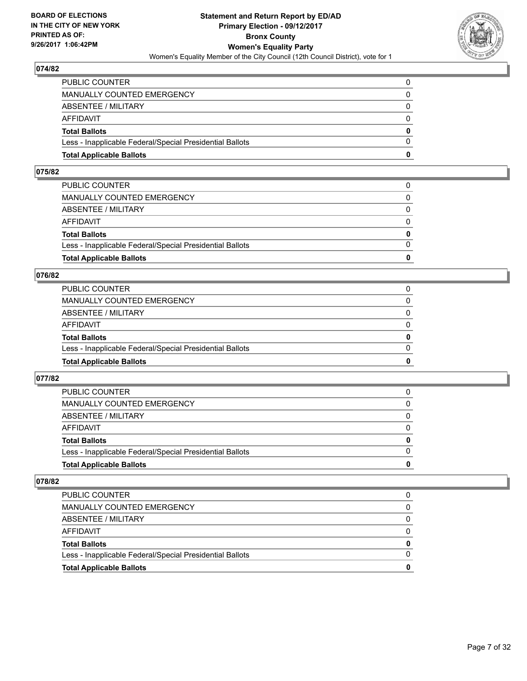

| <b>Total Applicable Ballots</b>                          | n        |
|----------------------------------------------------------|----------|
| Less - Inapplicable Federal/Special Presidential Ballots | $\Omega$ |
| <b>Total Ballots</b>                                     | $\bf{0}$ |
| AFFIDAVIT                                                | $\Omega$ |
| <b>ABSENTEE / MILITARY</b>                               | $\Omega$ |
| MANUALLY COUNTED EMERGENCY                               | 0        |
| PUBLIC COUNTER                                           | 0        |

#### **075/82**

| PUBLIC COUNTER                                           | 0            |
|----------------------------------------------------------|--------------|
| MANUALLY COUNTED EMERGENCY                               | 0            |
| ABSENTEE / MILITARY                                      | $\Omega$     |
| AFFIDAVIT                                                | $\Omega$     |
| <b>Total Ballots</b>                                     | $\mathbf{0}$ |
| Less - Inapplicable Federal/Special Presidential Ballots | $\Omega$     |
| <b>Total Applicable Ballots</b>                          | 0            |
|                                                          |              |

# **076/82**

| <b>Total Applicable Ballots</b>                          | 0        |
|----------------------------------------------------------|----------|
| Less - Inapplicable Federal/Special Presidential Ballots | $\Omega$ |
| <b>Total Ballots</b>                                     | 0        |
| <b>AFFIDAVIT</b>                                         | 0        |
| ABSENTEE / MILITARY                                      | 0        |
| MANUALLY COUNTED EMERGENCY                               | 0        |
| PUBLIC COUNTER                                           |          |

# **077/82**

| <b>Total Applicable Ballots</b>                          | o            |
|----------------------------------------------------------|--------------|
| Less - Inapplicable Federal/Special Presidential Ballots | <sup>0</sup> |
| <b>Total Ballots</b>                                     | 0            |
| <b>AFFIDAVIT</b>                                         |              |
| ABSENTEE / MILITARY                                      | 0            |
| <b>MANUALLY COUNTED EMERGENCY</b>                        | 0            |
| <b>PUBLIC COUNTER</b>                                    |              |

| <b>Total Applicable Ballots</b>                          | 0 |
|----------------------------------------------------------|---|
| Less - Inapplicable Federal/Special Presidential Ballots |   |
| <b>Total Ballots</b>                                     | 0 |
| AFFIDAVIT                                                |   |
| ABSENTEE / MILITARY                                      |   |
| MANUALLY COUNTED EMERGENCY                               | 0 |
| <b>PUBLIC COUNTER</b>                                    |   |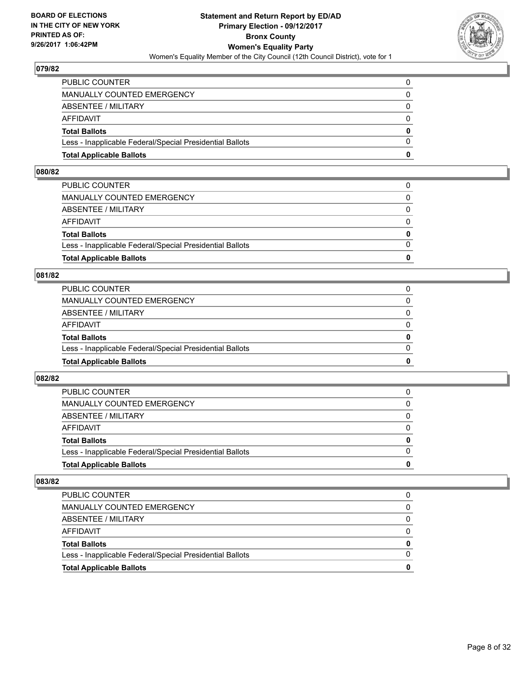

| <b>Total Applicable Ballots</b>                          | n        |
|----------------------------------------------------------|----------|
| Less - Inapplicable Federal/Special Presidential Ballots | $\Omega$ |
| <b>Total Ballots</b>                                     | $\bf{0}$ |
| AFFIDAVIT                                                | $\Omega$ |
| <b>ABSENTEE / MILITARY</b>                               | $\Omega$ |
| MANUALLY COUNTED EMERGENCY                               | 0        |
| PUBLIC COUNTER                                           | 0        |

#### **080/82**

| PUBLIC COUNTER                                           | 0        |
|----------------------------------------------------------|----------|
| MANUALLY COUNTED EMERGENCY                               | $\Omega$ |
| ABSENTEE / MILITARY                                      | $\Omega$ |
| AFFIDAVIT                                                | $\Omega$ |
| <b>Total Ballots</b>                                     | 0        |
| Less - Inapplicable Federal/Special Presidential Ballots | $\Omega$ |
| <b>Total Applicable Ballots</b>                          | 0        |
|                                                          |          |

#### **081/82**

| <b>Total Applicable Ballots</b>                          | 0        |
|----------------------------------------------------------|----------|
| Less - Inapplicable Federal/Special Presidential Ballots | $\Omega$ |
| <b>Total Ballots</b>                                     | 0        |
| <b>AFFIDAVIT</b>                                         | 0        |
| ABSENTEE / MILITARY                                      | $\Omega$ |
| MANUALLY COUNTED EMERGENCY                               | 0        |
| <b>PUBLIC COUNTER</b>                                    |          |

# **082/82**

| <b>Total Applicable Ballots</b>                          | 0        |
|----------------------------------------------------------|----------|
| Less - Inapplicable Federal/Special Presidential Ballots |          |
| <b>Total Ballots</b>                                     | $\bf{0}$ |
| <b>AFFIDAVIT</b>                                         |          |
| ABSENTEE / MILITARY                                      | 0        |
| MANUALLY COUNTED EMERGENCY                               | 0        |
| <b>PUBLIC COUNTER</b>                                    | 0        |

| <b>Total Applicable Ballots</b>                          | 0 |
|----------------------------------------------------------|---|
| Less - Inapplicable Federal/Special Presidential Ballots |   |
| <b>Total Ballots</b>                                     | 0 |
| AFFIDAVIT                                                |   |
| ABSENTEE / MILITARY                                      |   |
| MANUALLY COUNTED EMERGENCY                               | 0 |
| PUBLIC COUNTER                                           |   |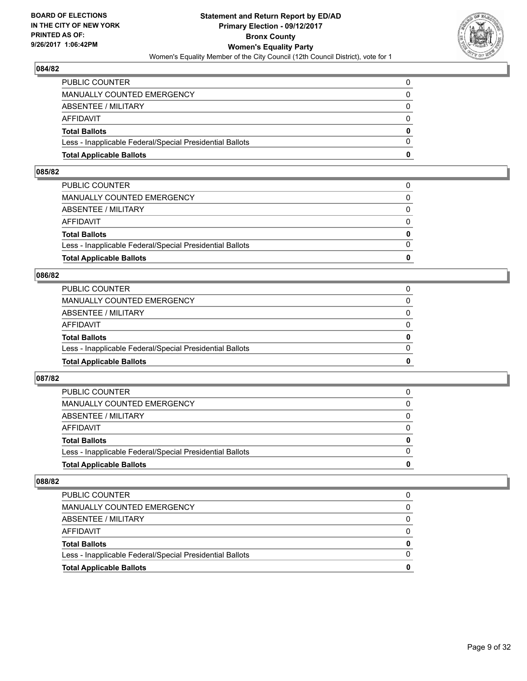

| <b>Total Applicable Ballots</b>                          | o        |
|----------------------------------------------------------|----------|
| Less - Inapplicable Federal/Special Presidential Ballots | 0        |
| <b>Total Ballots</b>                                     | $\bf{0}$ |
| AFFIDAVIT                                                | $\Omega$ |
| ABSENTEE / MILITARY                                      | 0        |
| MANUALLY COUNTED EMERGENCY                               | $\Omega$ |
| PUBLIC COUNTER                                           | 0        |

#### **085/82**

| PUBLIC COUNTER                                           | 0        |
|----------------------------------------------------------|----------|
| MANUALLY COUNTED EMERGENCY                               | $\Omega$ |
| ABSENTEE / MILITARY                                      | $\Omega$ |
| AFFIDAVIT                                                | $\Omega$ |
| <b>Total Ballots</b>                                     | 0        |
| Less - Inapplicable Federal/Special Presidential Ballots | $\Omega$ |
| <b>Total Applicable Ballots</b>                          | 0        |
|                                                          |          |

# **086/82**

| <b>Total Applicable Ballots</b>                          | 0        |
|----------------------------------------------------------|----------|
| Less - Inapplicable Federal/Special Presidential Ballots | $\Omega$ |
| <b>Total Ballots</b>                                     | 0        |
| <b>AFFIDAVIT</b>                                         | 0        |
| ABSENTEE / MILITARY                                      | $\Omega$ |
| <b>MANUALLY COUNTED EMERGENCY</b>                        | 0        |
| PUBLIC COUNTER                                           |          |

# **087/82**

| <b>Total Applicable Ballots</b>                          | 0        |
|----------------------------------------------------------|----------|
| Less - Inapplicable Federal/Special Presidential Ballots |          |
| <b>Total Ballots</b>                                     | $\bf{0}$ |
| <b>AFFIDAVIT</b>                                         |          |
| ABSENTEE / MILITARY                                      | 0        |
| MANUALLY COUNTED EMERGENCY                               | 0        |
| <b>PUBLIC COUNTER</b>                                    | 0        |

| <b>Total Applicable Ballots</b>                          |   |
|----------------------------------------------------------|---|
| Less - Inapplicable Federal/Special Presidential Ballots |   |
| <b>Total Ballots</b>                                     | 0 |
| AFFIDAVIT                                                |   |
| ABSENTEE / MILITARY                                      |   |
| MANUALLY COUNTED EMERGENCY                               |   |
| <b>PUBLIC COUNTER</b>                                    |   |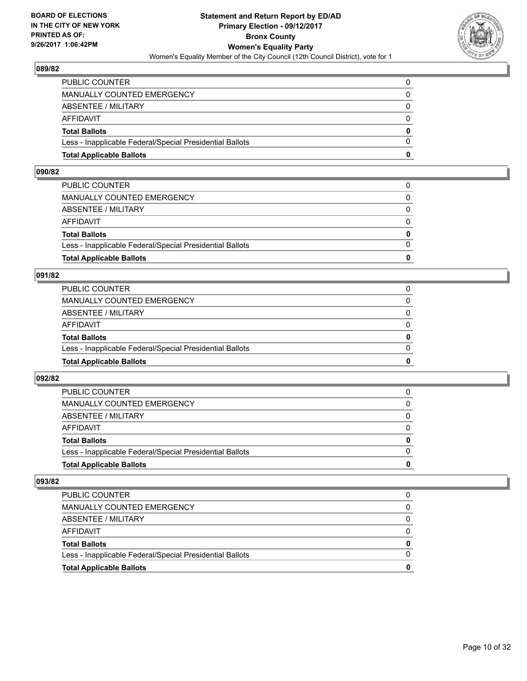

| <b>Total Applicable Ballots</b>                          | o        |
|----------------------------------------------------------|----------|
| Less - Inapplicable Federal/Special Presidential Ballots | 0        |
| <b>Total Ballots</b>                                     | $\bf{0}$ |
| AFFIDAVIT                                                | $\Omega$ |
| ABSENTEE / MILITARY                                      | 0        |
| MANUALLY COUNTED EMERGENCY                               | $\Omega$ |
| PUBLIC COUNTER                                           | 0        |

#### **090/82**

| PUBLIC COUNTER                                           | 0        |
|----------------------------------------------------------|----------|
| MANUALLY COUNTED EMERGENCY                               | $\Omega$ |
| ABSENTEE / MILITARY                                      | $\Omega$ |
| AFFIDAVIT                                                | $\Omega$ |
| <b>Total Ballots</b>                                     | 0        |
| Less - Inapplicable Federal/Special Presidential Ballots | $\Omega$ |
| <b>Total Applicable Ballots</b>                          | 0        |
|                                                          |          |

# **091/82**

| <b>Total Applicable Ballots</b>                          | 0        |
|----------------------------------------------------------|----------|
| Less - Inapplicable Federal/Special Presidential Ballots | $\Omega$ |
| <b>Total Ballots</b>                                     | 0        |
| <b>AFFIDAVIT</b>                                         | 0        |
| ABSENTEE / MILITARY                                      | $\Omega$ |
| MANUALLY COUNTED EMERGENCY                               | 0        |
| PUBLIC COUNTER                                           |          |

# **092/82**

| <b>Total Applicable Ballots</b>                          | 0        |
|----------------------------------------------------------|----------|
| Less - Inapplicable Federal/Special Presidential Ballots |          |
| <b>Total Ballots</b>                                     | $\bf{0}$ |
| <b>AFFIDAVIT</b>                                         |          |
| ABSENTEE / MILITARY                                      | 0        |
| MANUALLY COUNTED EMERGENCY                               | 0        |
| <b>PUBLIC COUNTER</b>                                    | 0        |

| <b>Total Applicable Ballots</b>                          |   |
|----------------------------------------------------------|---|
| Less - Inapplicable Federal/Special Presidential Ballots |   |
| <b>Total Ballots</b>                                     | 0 |
| AFFIDAVIT                                                |   |
| ABSENTEE / MILITARY                                      |   |
| MANUALLY COUNTED EMERGENCY                               |   |
| <b>PUBLIC COUNTER</b>                                    |   |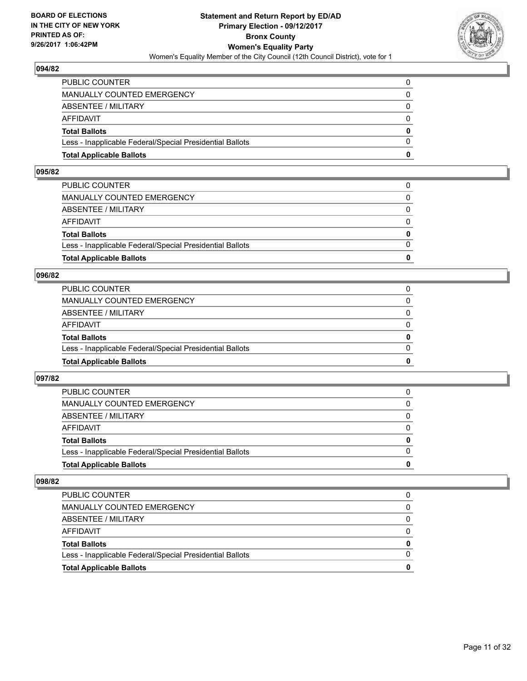

| <b>Total Applicable Ballots</b>                          | o        |
|----------------------------------------------------------|----------|
| Less - Inapplicable Federal/Special Presidential Ballots | 0        |
| <b>Total Ballots</b>                                     | $\bf{0}$ |
| AFFIDAVIT                                                | $\Omega$ |
| ABSENTEE / MILITARY                                      | 0        |
| MANUALLY COUNTED EMERGENCY                               | $\Omega$ |
| PUBLIC COUNTER                                           | 0        |

#### **095/82**

| PUBLIC COUNTER                                           | 0        |
|----------------------------------------------------------|----------|
| MANUALLY COUNTED EMERGENCY                               | $\Omega$ |
| ABSENTEE / MILITARY                                      | $\Omega$ |
| AFFIDAVIT                                                | $\Omega$ |
| <b>Total Ballots</b>                                     | 0        |
| Less - Inapplicable Federal/Special Presidential Ballots | $\Omega$ |
| <b>Total Applicable Ballots</b>                          | 0        |
|                                                          |          |

# **096/82**

| <b>Total Applicable Ballots</b>                          | 0        |
|----------------------------------------------------------|----------|
| Less - Inapplicable Federal/Special Presidential Ballots | $\Omega$ |
| <b>Total Ballots</b>                                     | 0        |
| <b>AFFIDAVIT</b>                                         | 0        |
| ABSENTEE / MILITARY                                      | 0        |
| MANUALLY COUNTED EMERGENCY                               | 0        |
| PUBLIC COUNTER                                           |          |

# **097/82**

| <b>Total Applicable Ballots</b>                          | 0        |
|----------------------------------------------------------|----------|
| Less - Inapplicable Federal/Special Presidential Ballots |          |
| <b>Total Ballots</b>                                     | $\bf{0}$ |
| <b>AFFIDAVIT</b>                                         |          |
| ABSENTEE / MILITARY                                      | 0        |
| MANUALLY COUNTED EMERGENCY                               | 0        |
| <b>PUBLIC COUNTER</b>                                    | 0        |

| <b>Total Applicable Ballots</b>                          |   |
|----------------------------------------------------------|---|
| Less - Inapplicable Federal/Special Presidential Ballots |   |
| <b>Total Ballots</b>                                     | 0 |
| AFFIDAVIT                                                |   |
| ABSENTEE / MILITARY                                      |   |
| MANUALLY COUNTED EMERGENCY                               |   |
| <b>PUBLIC COUNTER</b>                                    |   |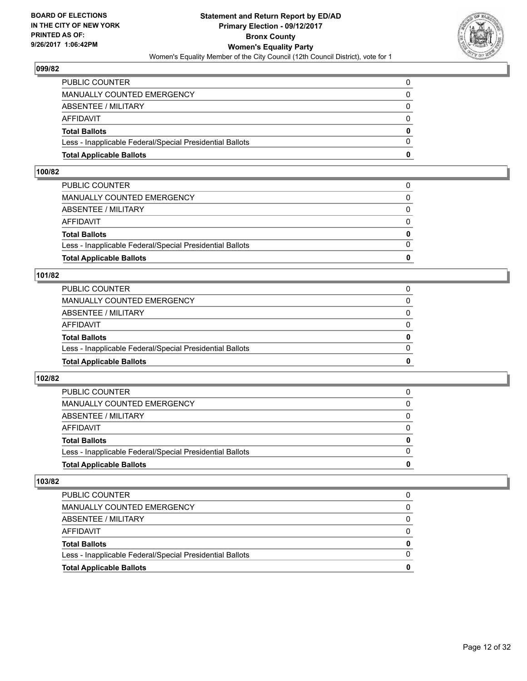

| <b>Total Applicable Ballots</b>                          | o        |
|----------------------------------------------------------|----------|
| Less - Inapplicable Federal/Special Presidential Ballots | 0        |
| <b>Total Ballots</b>                                     | $\bf{0}$ |
| <b>AFFIDAVIT</b>                                         | $\Omega$ |
| <b>ABSENTEE / MILITARY</b>                               | 0        |
| <b>MANUALLY COUNTED EMERGENCY</b>                        | $\Omega$ |
| PUBLIC COUNTER                                           | 0        |

#### **100/82**

| PUBLIC COUNTER                                           | 0        |
|----------------------------------------------------------|----------|
| MANUALLY COUNTED EMERGENCY                               | $\Omega$ |
| ABSENTEE / MILITARY                                      | $\Omega$ |
| AFFIDAVIT                                                | $\Omega$ |
| <b>Total Ballots</b>                                     | 0        |
| Less - Inapplicable Federal/Special Presidential Ballots | $\Omega$ |
| <b>Total Applicable Ballots</b>                          | 0        |
|                                                          |          |

# **101/82**

| <b>Total Applicable Ballots</b>                          | 0        |
|----------------------------------------------------------|----------|
| Less - Inapplicable Federal/Special Presidential Ballots | $\Omega$ |
| <b>Total Ballots</b>                                     | 0        |
| <b>AFFIDAVIT</b>                                         | 0        |
| ABSENTEE / MILITARY                                      | 0        |
| MANUALLY COUNTED EMERGENCY                               | 0        |
| PUBLIC COUNTER                                           |          |

# **102/82**

| <b>Total Applicable Ballots</b>                          | 0            |
|----------------------------------------------------------|--------------|
| Less - Inapplicable Federal/Special Presidential Ballots |              |
| <b>Total Ballots</b>                                     | $\mathbf{0}$ |
| <b>AFFIDAVIT</b>                                         |              |
| ABSENTEE / MILITARY                                      | 0            |
| MANUALLY COUNTED EMERGENCY                               | $\Omega$     |
| PUBLIC COUNTER                                           | 0            |

| <b>Total Applicable Ballots</b>                          |   |
|----------------------------------------------------------|---|
| Less - Inapplicable Federal/Special Presidential Ballots |   |
| <b>Total Ballots</b>                                     | 0 |
| AFFIDAVIT                                                |   |
| ABSENTEE / MILITARY                                      |   |
| MANUALLY COUNTED EMERGENCY                               |   |
| PUBLIC COUNTER                                           |   |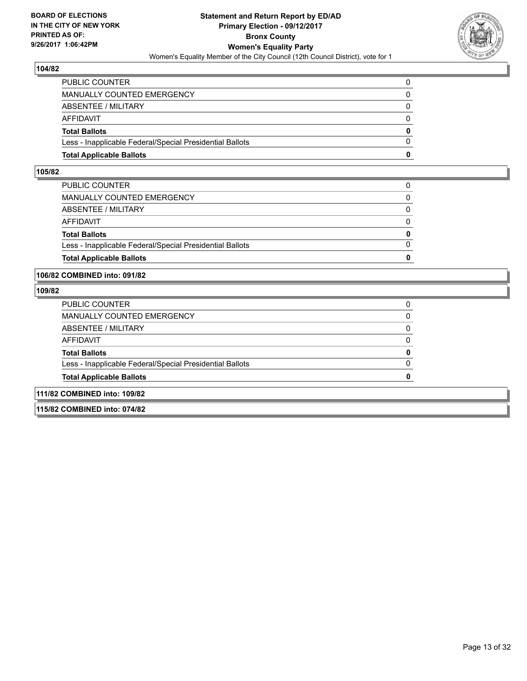

| <b>Total Applicable Ballots</b>                          | o            |
|----------------------------------------------------------|--------------|
| Less - Inapplicable Federal/Special Presidential Ballots | $\Omega$     |
| <b>Total Ballots</b>                                     | $\mathbf{0}$ |
| AFFIDAVIT                                                | $\Omega$     |
| <b>ABSENTEE / MILITARY</b>                               | 0            |
| <b>MANUALLY COUNTED EMERGENCY</b>                        | 0            |
| PUBLIC COUNTER                                           |              |

#### **105/82**

| <b>Total Applicable Ballots</b>                          | 0            |
|----------------------------------------------------------|--------------|
| Less - Inapplicable Federal/Special Presidential Ballots | $\Omega$     |
| <b>Total Ballots</b>                                     | $\mathbf{0}$ |
| AFFIDAVIT                                                | $\Omega$     |
| ABSENTEE / MILITARY                                      | $\Omega$     |
| MANUALLY COUNTED EMERGENCY                               | 0            |
| PUBLIC COUNTER                                           | 0            |
|                                                          |              |

#### **106/82 COMBINED into: 091/82**

#### **109/82**

| <b>Total Applicable Ballots</b>                          |   |
|----------------------------------------------------------|---|
| Less - Inapplicable Federal/Special Presidential Ballots | 0 |
| <b>Total Ballots</b>                                     | 0 |
| AFFIDAVIT                                                | O |
| ABSENTEE / MILITARY                                      | 0 |
| <b>MANUALLY COUNTED EMERGENCY</b>                        | 0 |
| PUBLIC COUNTER                                           | 0 |

**115/82 COMBINED into: 074/82**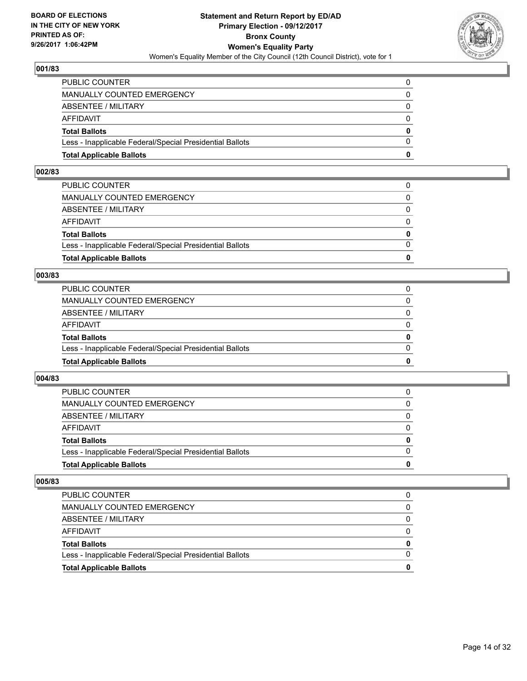

| <b>Total Applicable Ballots</b>                          | n        |
|----------------------------------------------------------|----------|
| Less - Inapplicable Federal/Special Presidential Ballots | $\Omega$ |
| <b>Total Ballots</b>                                     | $\bf{0}$ |
| AFFIDAVIT                                                | $\Omega$ |
| <b>ABSENTEE / MILITARY</b>                               | $\Omega$ |
| MANUALLY COUNTED EMERGENCY                               | 0        |
| PUBLIC COUNTER                                           | 0        |

#### **002/83**

| PUBLIC COUNTER                                           | 0        |
|----------------------------------------------------------|----------|
| MANUALLY COUNTED EMERGENCY                               | $\Omega$ |
| ABSENTEE / MILITARY                                      | $\Omega$ |
| AFFIDAVIT                                                | $\Omega$ |
| <b>Total Ballots</b>                                     | 0        |
| Less - Inapplicable Federal/Special Presidential Ballots | $\Omega$ |
| <b>Total Applicable Ballots</b>                          | 0        |
|                                                          |          |

# **003/83**

| <b>Total Applicable Ballots</b>                          | 0        |
|----------------------------------------------------------|----------|
| Less - Inapplicable Federal/Special Presidential Ballots | $\Omega$ |
| <b>Total Ballots</b>                                     | 0        |
| AFFIDAVIT                                                | $\Omega$ |
| <b>ABSENTEE / MILITARY</b>                               | 0        |
| MANUALLY COUNTED EMERGENCY                               | 0        |
| PUBLIC COUNTER                                           |          |

# **004/83**

| <b>Total Applicable Ballots</b>                          | 0        |
|----------------------------------------------------------|----------|
| Less - Inapplicable Federal/Special Presidential Ballots |          |
| <b>Total Ballots</b>                                     | $\bf{0}$ |
| <b>AFFIDAVIT</b>                                         |          |
| ABSENTEE / MILITARY                                      | 0        |
| MANUALLY COUNTED EMERGENCY                               | 0        |
| <b>PUBLIC COUNTER</b>                                    | 0        |

| <b>Total Applicable Ballots</b>                          |   |
|----------------------------------------------------------|---|
| Less - Inapplicable Federal/Special Presidential Ballots |   |
| <b>Total Ballots</b>                                     | 0 |
| AFFIDAVIT                                                |   |
| ABSENTEE / MILITARY                                      |   |
| MANUALLY COUNTED EMERGENCY                               |   |
| PUBLIC COUNTER                                           |   |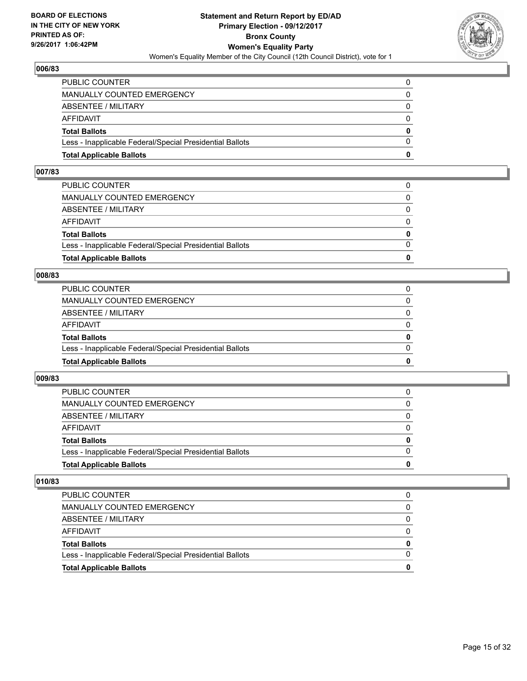

| <b>Total Applicable Ballots</b>                          | o        |
|----------------------------------------------------------|----------|
| Less - Inapplicable Federal/Special Presidential Ballots | 0        |
| <b>Total Ballots</b>                                     | $\bf{0}$ |
| <b>AFFIDAVIT</b>                                         | $\Omega$ |
| <b>ABSENTEE / MILITARY</b>                               | 0        |
| <b>MANUALLY COUNTED EMERGENCY</b>                        | $\Omega$ |
| PUBLIC COUNTER                                           | 0        |

#### **007/83**

| PUBLIC COUNTER                                           | 0            |
|----------------------------------------------------------|--------------|
| MANUALLY COUNTED EMERGENCY                               | 0            |
| ABSENTEE / MILITARY                                      | $\Omega$     |
| AFFIDAVIT                                                | $\Omega$     |
| <b>Total Ballots</b>                                     | $\mathbf{0}$ |
| Less - Inapplicable Federal/Special Presidential Ballots | $\Omega$     |
| <b>Total Applicable Ballots</b>                          | 0            |
|                                                          |              |

#### **008/83**

| <b>Total Applicable Ballots</b>                          | 0            |
|----------------------------------------------------------|--------------|
| Less - Inapplicable Federal/Special Presidential Ballots | $\Omega$     |
| <b>Total Ballots</b>                                     | 0            |
| AFFIDAVIT                                                | <sup>0</sup> |
| ABSENTEE / MILITARY                                      | $\Omega$     |
| MANUALLY COUNTED EMERGENCY                               | 0            |
| PUBLIC COUNTER                                           |              |

# **009/83**

| <b>Total Applicable Ballots</b>                          | o |
|----------------------------------------------------------|---|
| Less - Inapplicable Federal/Special Presidential Ballots | 0 |
| <b>Total Ballots</b>                                     | 0 |
| <b>AFFIDAVIT</b>                                         |   |
| ABSENTEE / MILITARY                                      | 0 |
| <b>MANUALLY COUNTED EMERGENCY</b>                        | 0 |
| <b>PUBLIC COUNTER</b>                                    |   |

| <b>Total Applicable Ballots</b>                          | 0 |
|----------------------------------------------------------|---|
| Less - Inapplicable Federal/Special Presidential Ballots |   |
| <b>Total Ballots</b>                                     | 0 |
| AFFIDAVIT                                                |   |
| ABSENTEE / MILITARY                                      |   |
| MANUALLY COUNTED EMERGENCY                               | 0 |
| PUBLIC COUNTER                                           |   |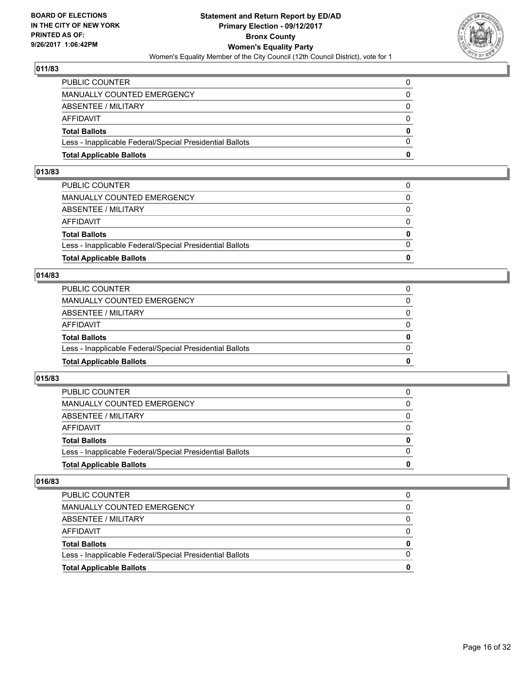

| <b>Total Applicable Ballots</b>                          | n        |
|----------------------------------------------------------|----------|
| Less - Inapplicable Federal/Special Presidential Ballots | $\Omega$ |
| <b>Total Ballots</b>                                     | $\bf{0}$ |
| AFFIDAVIT                                                | $\Omega$ |
| <b>ABSENTEE / MILITARY</b>                               | $\Omega$ |
| MANUALLY COUNTED EMERGENCY                               | 0        |
| PUBLIC COUNTER                                           | 0        |

#### **013/83**

| PUBLIC COUNTER                                           | 0        |
|----------------------------------------------------------|----------|
| MANUALLY COUNTED EMERGENCY                               | $\Omega$ |
| ABSENTEE / MILITARY                                      | $\Omega$ |
| AFFIDAVIT                                                | $\Omega$ |
| <b>Total Ballots</b>                                     | 0        |
| Less - Inapplicable Federal/Special Presidential Ballots | $\Omega$ |
| <b>Total Applicable Ballots</b>                          | 0        |
|                                                          |          |

# **014/83**

| <b>Total Applicable Ballots</b>                          | 0        |
|----------------------------------------------------------|----------|
| Less - Inapplicable Federal/Special Presidential Ballots | $\Omega$ |
| <b>Total Ballots</b>                                     | 0        |
| <b>AFFIDAVIT</b>                                         | 0        |
| ABSENTEE / MILITARY                                      | $\Omega$ |
| <b>MANUALLY COUNTED EMERGENCY</b>                        | 0        |
| PUBLIC COUNTER                                           |          |

# **015/83**

| <b>Total Applicable Ballots</b>                          | 0        |
|----------------------------------------------------------|----------|
| Less - Inapplicable Federal/Special Presidential Ballots |          |
| <b>Total Ballots</b>                                     | $\bf{0}$ |
| <b>AFFIDAVIT</b>                                         |          |
| ABSENTEE / MILITARY                                      | 0        |
| MANUALLY COUNTED EMERGENCY                               | 0        |
| <b>PUBLIC COUNTER</b>                                    | 0        |

| <b>Total Applicable Ballots</b>                          | 0 |
|----------------------------------------------------------|---|
| Less - Inapplicable Federal/Special Presidential Ballots |   |
| <b>Total Ballots</b>                                     | 0 |
| AFFIDAVIT                                                |   |
| ABSENTEE / MILITARY                                      | 0 |
| MANUALLY COUNTED EMERGENCY                               | 0 |
| PUBLIC COUNTER                                           | 0 |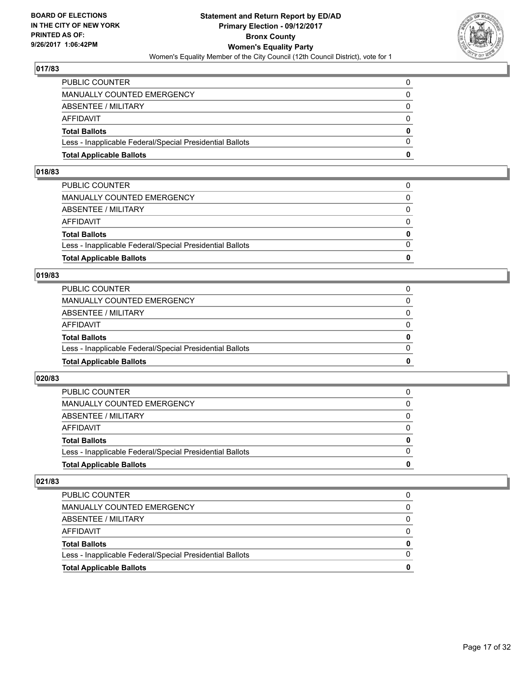

| <b>Total Applicable Ballots</b>                          | n        |
|----------------------------------------------------------|----------|
| Less - Inapplicable Federal/Special Presidential Ballots | $\Omega$ |
| <b>Total Ballots</b>                                     | $\bf{0}$ |
| AFFIDAVIT                                                | $\Omega$ |
| <b>ABSENTEE / MILITARY</b>                               | $\Omega$ |
| MANUALLY COUNTED EMERGENCY                               | 0        |
| PUBLIC COUNTER                                           | 0        |

#### **018/83**

| 0            |
|--------------|
| $\Omega$     |
| $\mathbf{0}$ |
| $\Omega$     |
| $\Omega$     |
| $\Omega$     |
| 0            |
|              |

# **019/83**

| <b>Total Applicable Ballots</b>                          | 0        |
|----------------------------------------------------------|----------|
| Less - Inapplicable Federal/Special Presidential Ballots | 0        |
| <b>Total Ballots</b>                                     | 0        |
| AFFIDAVIT                                                | 0        |
| <b>ABSENTEE / MILITARY</b>                               | $\Omega$ |
| MANUALLY COUNTED EMERGENCY                               |          |
| PUBLIC COUNTER                                           |          |

# **020/83**

| <b>Total Applicable Ballots</b>                          | o |
|----------------------------------------------------------|---|
| Less - Inapplicable Federal/Special Presidential Ballots | 0 |
| <b>Total Ballots</b>                                     | 0 |
| <b>AFFIDAVIT</b>                                         |   |
| ABSENTEE / MILITARY                                      | 0 |
| <b>MANUALLY COUNTED EMERGENCY</b>                        | 0 |
| <b>PUBLIC COUNTER</b>                                    |   |

| <b>Total Applicable Ballots</b>                          | 0 |
|----------------------------------------------------------|---|
| Less - Inapplicable Federal/Special Presidential Ballots |   |
| <b>Total Ballots</b>                                     | 0 |
| AFFIDAVIT                                                |   |
| ABSENTEE / MILITARY                                      |   |
| MANUALLY COUNTED EMERGENCY                               | 0 |
| PUBLIC COUNTER                                           |   |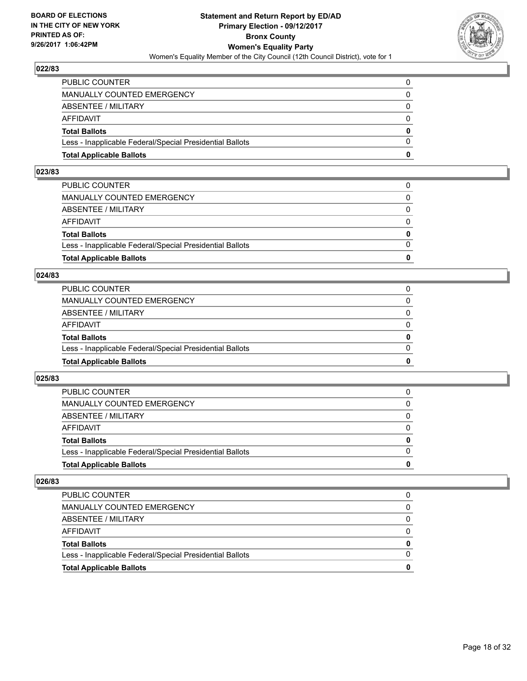

| <b>Total Applicable Ballots</b>                          | o        |
|----------------------------------------------------------|----------|
| Less - Inapplicable Federal/Special Presidential Ballots | 0        |
| <b>Total Ballots</b>                                     | $\bf{0}$ |
| AFFIDAVIT                                                | $\Omega$ |
| ABSENTEE / MILITARY                                      | 0        |
| MANUALLY COUNTED EMERGENCY                               | $\Omega$ |
| PUBLIC COUNTER                                           | 0        |

#### **023/83**

| PUBLIC COUNTER                                           | 0        |
|----------------------------------------------------------|----------|
| MANUALLY COUNTED EMERGENCY                               | $\Omega$ |
| ABSENTEE / MILITARY                                      | $\Omega$ |
| AFFIDAVIT                                                | $\Omega$ |
| <b>Total Ballots</b>                                     | 0        |
| Less - Inapplicable Federal/Special Presidential Ballots | $\Omega$ |
| <b>Total Applicable Ballots</b>                          | 0        |
|                                                          |          |

# **024/83**

| <b>Total Applicable Ballots</b>                          | 0        |
|----------------------------------------------------------|----------|
| Less - Inapplicable Federal/Special Presidential Ballots | $\Omega$ |
| <b>Total Ballots</b>                                     | 0        |
| <b>AFFIDAVIT</b>                                         | $\Omega$ |
| ABSENTEE / MILITARY                                      | 0        |
| MANUALLY COUNTED EMERGENCY                               | $\Omega$ |
| PUBLIC COUNTER                                           |          |

# **025/83**

| <b>Total Applicable Ballots</b>                          | o            |
|----------------------------------------------------------|--------------|
| Less - Inapplicable Federal/Special Presidential Ballots | <sup>0</sup> |
| <b>Total Ballots</b>                                     | 0            |
| <b>AFFIDAVIT</b>                                         |              |
| ABSENTEE / MILITARY                                      | 0            |
| <b>MANUALLY COUNTED EMERGENCY</b>                        | 0            |
| <b>PUBLIC COUNTER</b>                                    |              |

| <b>Total Applicable Ballots</b>                          | 0 |
|----------------------------------------------------------|---|
| Less - Inapplicable Federal/Special Presidential Ballots |   |
| <b>Total Ballots</b>                                     | 0 |
| AFFIDAVIT                                                |   |
| ABSENTEE / MILITARY                                      |   |
| MANUALLY COUNTED EMERGENCY                               | 0 |
| PUBLIC COUNTER                                           | 0 |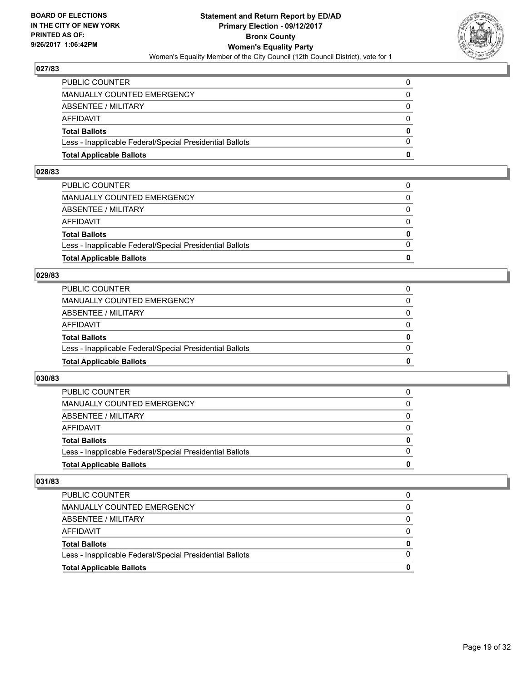

| <b>Total Applicable Ballots</b>                          | o        |
|----------------------------------------------------------|----------|
| Less - Inapplicable Federal/Special Presidential Ballots | $\Omega$ |
| <b>Total Ballots</b>                                     | $\bf{0}$ |
| AFFIDAVIT                                                | 0        |
| ABSENTEE / MILITARY                                      | 0        |
| MANUALLY COUNTED EMERGENCY                               | 0        |
| PUBLIC COUNTER                                           | 0        |

#### **028/83**

| <b>Total Applicable Ballots</b>                          | n            |
|----------------------------------------------------------|--------------|
| Less - Inapplicable Federal/Special Presidential Ballots | $\Omega$     |
| <b>Total Ballots</b>                                     | $\mathbf{0}$ |
| AFFIDAVIT                                                | $\Omega$     |
| ABSENTEE / MILITARY                                      | $\Omega$     |
| MANUALLY COUNTED EMERGENCY                               | 0            |
| PUBLIC COUNTER                                           | 0            |
|                                                          |              |

# **029/83**

| <b>Total Applicable Ballots</b>                          | 0        |
|----------------------------------------------------------|----------|
| Less - Inapplicable Federal/Special Presidential Ballots | $\Omega$ |
| <b>Total Ballots</b>                                     | 0        |
| <b>AFFIDAVIT</b>                                         | 0        |
| ABSENTEE / MILITARY                                      | 0        |
| MANUALLY COUNTED EMERGENCY                               | 0        |
| PUBLIC COUNTER                                           |          |

# **030/83**

| <b>Total Applicable Ballots</b>                          | o            |
|----------------------------------------------------------|--------------|
| Less - Inapplicable Federal/Special Presidential Ballots | <sup>0</sup> |
| <b>Total Ballots</b>                                     | 0            |
| <b>AFFIDAVIT</b>                                         |              |
| ABSENTEE / MILITARY                                      | 0            |
| <b>MANUALLY COUNTED EMERGENCY</b>                        | 0            |
| <b>PUBLIC COUNTER</b>                                    |              |

| <b>Total Applicable Ballots</b>                          | 0 |
|----------------------------------------------------------|---|
| Less - Inapplicable Federal/Special Presidential Ballots |   |
| <b>Total Ballots</b>                                     | 0 |
| AFFIDAVIT                                                |   |
| ABSENTEE / MILITARY                                      |   |
| MANUALLY COUNTED EMERGENCY                               | 0 |
| <b>PUBLIC COUNTER</b>                                    |   |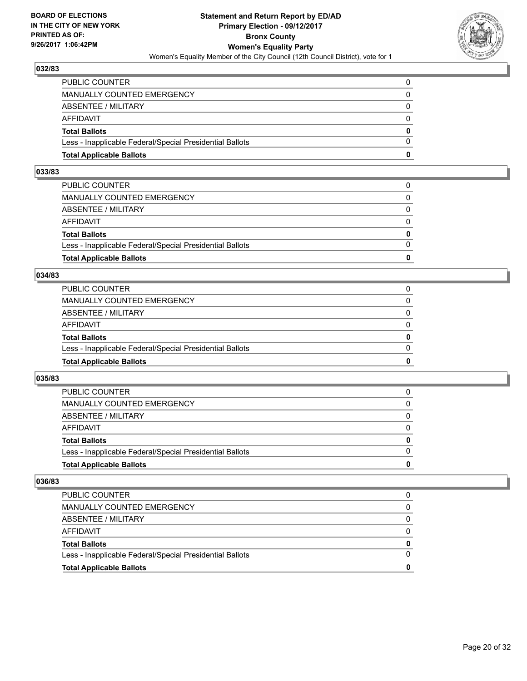

| <b>Total Applicable Ballots</b>                          | o        |
|----------------------------------------------------------|----------|
| Less - Inapplicable Federal/Special Presidential Ballots | $\Omega$ |
| <b>Total Ballots</b>                                     | $\bf{0}$ |
| AFFIDAVIT                                                | 0        |
| ABSENTEE / MILITARY                                      | 0        |
| MANUALLY COUNTED EMERGENCY                               | 0        |
| PUBLIC COUNTER                                           | 0        |

#### **033/83**

| PUBLIC COUNTER                                           | 0            |
|----------------------------------------------------------|--------------|
| MANUALLY COUNTED EMERGENCY                               | 0            |
| ABSENTEE / MILITARY                                      | $\Omega$     |
| AFFIDAVIT                                                | $\Omega$     |
| <b>Total Ballots</b>                                     | $\mathbf{0}$ |
| Less - Inapplicable Federal/Special Presidential Ballots | $\Omega$     |
| <b>Total Applicable Ballots</b>                          | 0            |
|                                                          |              |

# **034/83**

| <b>Total Applicable Ballots</b>                          | 0        |
|----------------------------------------------------------|----------|
| Less - Inapplicable Federal/Special Presidential Ballots | $\Omega$ |
| <b>Total Ballots</b>                                     | 0        |
| <b>AFFIDAVIT</b>                                         | 0        |
| ABSENTEE / MILITARY                                      | $\Omega$ |
| <b>MANUALLY COUNTED EMERGENCY</b>                        | 0        |
| PUBLIC COUNTER                                           |          |

# **035/83**

| <b>Total Applicable Ballots</b>                          | 0        |
|----------------------------------------------------------|----------|
| Less - Inapplicable Federal/Special Presidential Ballots |          |
| <b>Total Ballots</b>                                     | $\bf{0}$ |
| <b>AFFIDAVIT</b>                                         |          |
| ABSENTEE / MILITARY                                      | 0        |
| MANUALLY COUNTED EMERGENCY                               | 0        |
| <b>PUBLIC COUNTER</b>                                    | 0        |

| <b>Total Applicable Ballots</b>                          |   |
|----------------------------------------------------------|---|
| Less - Inapplicable Federal/Special Presidential Ballots |   |
| <b>Total Ballots</b>                                     | 0 |
| AFFIDAVIT                                                |   |
| ABSENTEE / MILITARY                                      |   |
| MANUALLY COUNTED EMERGENCY                               |   |
| <b>PUBLIC COUNTER</b>                                    |   |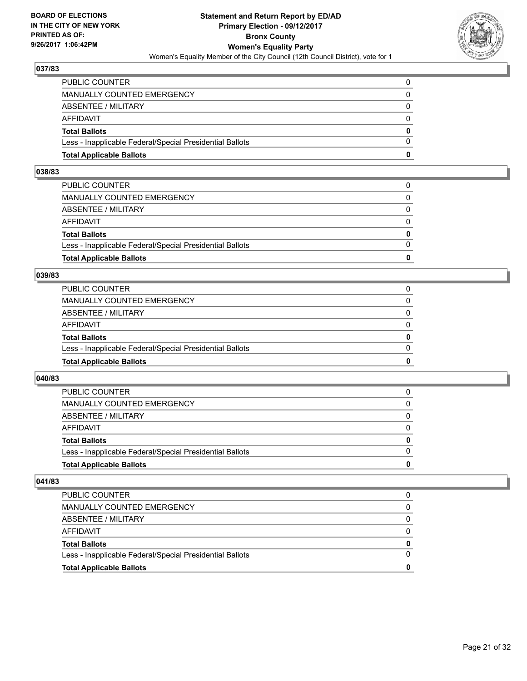

| <b>Total Applicable Ballots</b>                          | o        |
|----------------------------------------------------------|----------|
| Less - Inapplicable Federal/Special Presidential Ballots | 0        |
| <b>Total Ballots</b>                                     | $\bf{0}$ |
| <b>AFFIDAVIT</b>                                         | $\Omega$ |
| <b>ABSENTEE / MILITARY</b>                               | 0        |
| <b>MANUALLY COUNTED EMERGENCY</b>                        | $\Omega$ |
| PUBLIC COUNTER                                           | 0        |

#### **038/83**

| PUBLIC COUNTER                                           | 0            |
|----------------------------------------------------------|--------------|
| MANUALLY COUNTED EMERGENCY                               | 0            |
| ABSENTEE / MILITARY                                      | $\Omega$     |
| AFFIDAVIT                                                | $\Omega$     |
| <b>Total Ballots</b>                                     | $\mathbf{0}$ |
| Less - Inapplicable Federal/Special Presidential Ballots | $\Omega$     |
| <b>Total Applicable Ballots</b>                          | 0            |
|                                                          |              |

# **039/83**

| <b>Total Applicable Ballots</b>                          | 0        |
|----------------------------------------------------------|----------|
| Less - Inapplicable Federal/Special Presidential Ballots | $\Omega$ |
| <b>Total Ballots</b>                                     | 0        |
| <b>AFFIDAVIT</b>                                         | 0        |
| ABSENTEE / MILITARY                                      | $\Omega$ |
| <b>MANUALLY COUNTED EMERGENCY</b>                        | 0        |
| PUBLIC COUNTER                                           |          |

# **040/83**

| <b>Total Applicable Ballots</b>                          | o            |
|----------------------------------------------------------|--------------|
| Less - Inapplicable Federal/Special Presidential Ballots | <sup>0</sup> |
| <b>Total Ballots</b>                                     | 0            |
| <b>AFFIDAVIT</b>                                         |              |
| ABSENTEE / MILITARY                                      | 0            |
| <b>MANUALLY COUNTED EMERGENCY</b>                        | 0            |
| <b>PUBLIC COUNTER</b>                                    |              |

| <b>Total Applicable Ballots</b>                          | 0 |
|----------------------------------------------------------|---|
| Less - Inapplicable Federal/Special Presidential Ballots |   |
| <b>Total Ballots</b>                                     | 0 |
| AFFIDAVIT                                                |   |
| ABSENTEE / MILITARY                                      |   |
| MANUALLY COUNTED EMERGENCY                               | 0 |
| <b>PUBLIC COUNTER</b>                                    |   |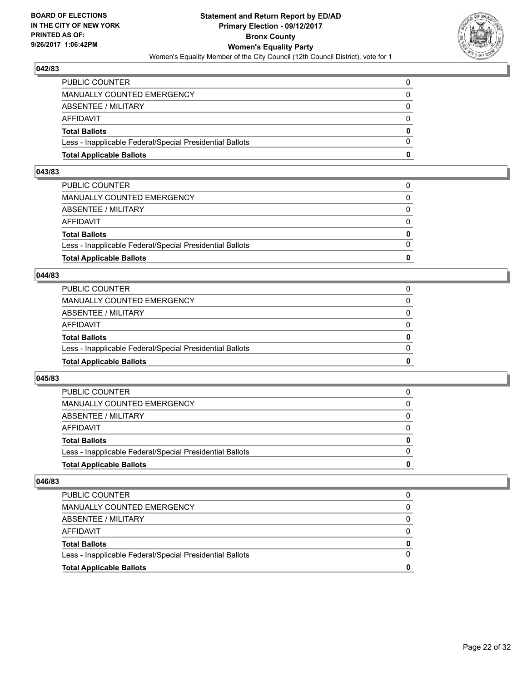

| <b>Total Applicable Ballots</b>                          | o        |
|----------------------------------------------------------|----------|
| Less - Inapplicable Federal/Special Presidential Ballots | $\Omega$ |
| <b>Total Ballots</b>                                     | $\bf{0}$ |
| AFFIDAVIT                                                | 0        |
| ABSENTEE / MILITARY                                      | 0        |
| MANUALLY COUNTED EMERGENCY                               | 0        |
| PUBLIC COUNTER                                           | 0        |

#### **043/83**

| PUBLIC COUNTER                                           | 0        |
|----------------------------------------------------------|----------|
| MANUALLY COUNTED EMERGENCY                               | $\Omega$ |
| ABSENTEE / MILITARY                                      | $\Omega$ |
| AFFIDAVIT                                                | $\Omega$ |
| <b>Total Ballots</b>                                     | 0        |
| Less - Inapplicable Federal/Special Presidential Ballots | $\Omega$ |
| <b>Total Applicable Ballots</b>                          | 0        |
|                                                          |          |

# **044/83**

| <b>Total Applicable Ballots</b>                          | 0        |
|----------------------------------------------------------|----------|
| Less - Inapplicable Federal/Special Presidential Ballots | $\Omega$ |
| <b>Total Ballots</b>                                     | 0        |
| <b>AFFIDAVIT</b>                                         | 0        |
| ABSENTEE / MILITARY                                      | 0        |
| MANUALLY COUNTED EMERGENCY                               | 0        |
| PUBLIC COUNTER                                           |          |

# **045/83**

| <b>Total Applicable Ballots</b>                          | o |
|----------------------------------------------------------|---|
| Less - Inapplicable Federal/Special Presidential Ballots | 0 |
| <b>Total Ballots</b>                                     | 0 |
| <b>AFFIDAVIT</b>                                         |   |
| ABSENTEE / MILITARY                                      | 0 |
| <b>MANUALLY COUNTED EMERGENCY</b>                        | 0 |
| <b>PUBLIC COUNTER</b>                                    |   |

| <b>Total Applicable Ballots</b>                          | 0 |
|----------------------------------------------------------|---|
| Less - Inapplicable Federal/Special Presidential Ballots |   |
| <b>Total Ballots</b>                                     | 0 |
| AFFIDAVIT                                                |   |
| ABSENTEE / MILITARY                                      |   |
| MANUALLY COUNTED EMERGENCY                               | 0 |
| <b>PUBLIC COUNTER</b>                                    |   |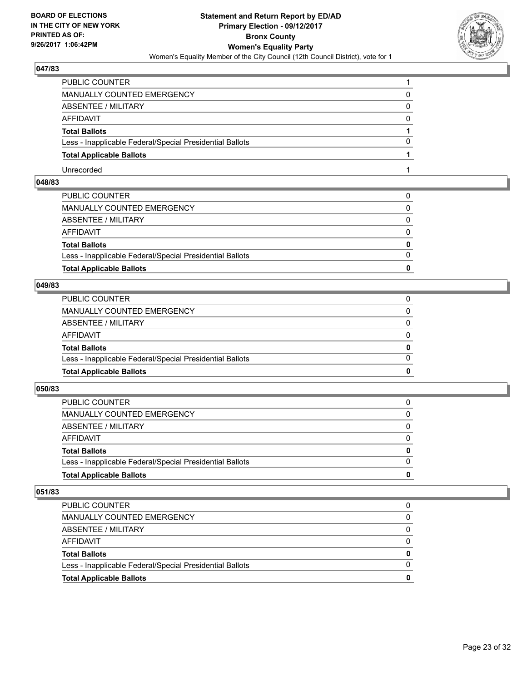

| PUBLIC COUNTER                                           |   |
|----------------------------------------------------------|---|
| <b>MANUALLY COUNTED EMERGENCY</b>                        |   |
| ABSENTEE / MILITARY                                      | 0 |
| AFFIDAVIT                                                | 0 |
| <b>Total Ballots</b>                                     |   |
| Less - Inapplicable Federal/Special Presidential Ballots | O |
| <b>Total Applicable Ballots</b>                          |   |
| Unrecorded                                               |   |

# **048/83**

| <b>Total Applicable Ballots</b>                          | $\bf{0}$     |
|----------------------------------------------------------|--------------|
| Less - Inapplicable Federal/Special Presidential Ballots | $\Omega$     |
| <b>Total Ballots</b>                                     | $\mathbf{0}$ |
| AFFIDAVIT                                                | $\Omega$     |
| ABSENTEE / MILITARY                                      | $\mathbf{0}$ |
| MANUALLY COUNTED EMERGENCY                               | 0            |
| PUBLIC COUNTER                                           |              |

# **049/83**

| <b>Total Applicable Ballots</b>                          | 0            |
|----------------------------------------------------------|--------------|
| Less - Inapplicable Federal/Special Presidential Ballots | $\Omega$     |
| <b>Total Ballots</b>                                     | $\mathbf{0}$ |
| AFFIDAVIT                                                | $\Omega$     |
| ABSENTEE / MILITARY                                      | $\mathbf{0}$ |
| MANUALLY COUNTED EMERGENCY                               | 0            |
| PUBLIC COUNTER                                           |              |

# **050/83**

| <b>Total Applicable Ballots</b>                          | 0        |
|----------------------------------------------------------|----------|
| Less - Inapplicable Federal/Special Presidential Ballots | 0        |
| <b>Total Ballots</b>                                     | 0        |
| AFFIDAVIT                                                | 0        |
| ABSENTEE / MILITARY                                      | $\Omega$ |
| <b>MANUALLY COUNTED EMERGENCY</b>                        | 0        |
| <b>PUBLIC COUNTER</b>                                    |          |

| <b>PUBLIC COUNTER</b>                                    |   |
|----------------------------------------------------------|---|
| MANUALLY COUNTED EMERGENCY                               |   |
| ABSENTEE / MILITARY                                      |   |
| AFFIDAVIT                                                | 0 |
| <b>Total Ballots</b>                                     | 0 |
| Less - Inapplicable Federal/Special Presidential Ballots |   |
| <b>Total Applicable Ballots</b>                          | o |
|                                                          |   |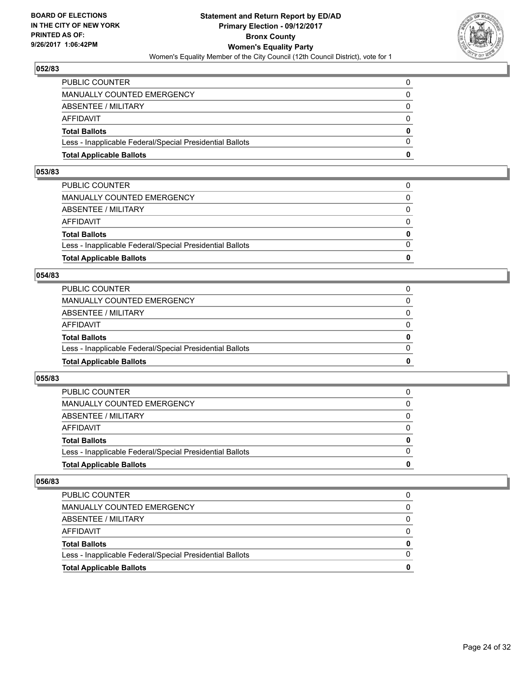

| <b>Total Applicable Ballots</b>                          | n            |
|----------------------------------------------------------|--------------|
| Less - Inapplicable Federal/Special Presidential Ballots | $\Omega$     |
| <b>Total Ballots</b>                                     | $\mathbf{0}$ |
| <b>AFFIDAVIT</b>                                         | $\Omega$     |
| <b>ABSENTEE / MILITARY</b>                               | $\Omega$     |
| <b>MANUALLY COUNTED EMERGENCY</b>                        | 0            |
| PUBLIC COUNTER                                           | 0            |

#### **053/83**

| PUBLIC COUNTER                                           | 0        |
|----------------------------------------------------------|----------|
| MANUALLY COUNTED EMERGENCY                               | $\Omega$ |
| ABSENTEE / MILITARY                                      | $\Omega$ |
| AFFIDAVIT                                                | $\Omega$ |
| <b>Total Ballots</b>                                     | 0        |
| Less - Inapplicable Federal/Special Presidential Ballots | $\Omega$ |
| <b>Total Applicable Ballots</b>                          | 0        |
|                                                          |          |

# **054/83**

| <b>Total Applicable Ballots</b>                          | 0        |
|----------------------------------------------------------|----------|
| Less - Inapplicable Federal/Special Presidential Ballots | $\Omega$ |
| <b>Total Ballots</b>                                     | 0        |
| <b>AFFIDAVIT</b>                                         | 0        |
| ABSENTEE / MILITARY                                      | $\Omega$ |
| <b>MANUALLY COUNTED EMERGENCY</b>                        | 0        |
| PUBLIC COUNTER                                           |          |

#### **055/83**

| <b>Total Applicable Ballots</b>                          | 0        |
|----------------------------------------------------------|----------|
| Less - Inapplicable Federal/Special Presidential Ballots |          |
| <b>Total Ballots</b>                                     | $\bf{0}$ |
| <b>AFFIDAVIT</b>                                         |          |
| ABSENTEE / MILITARY                                      | 0        |
| MANUALLY COUNTED EMERGENCY                               | 0        |
| <b>PUBLIC COUNTER</b>                                    | 0        |

| <b>Total Applicable Ballots</b>                          |   |
|----------------------------------------------------------|---|
| Less - Inapplicable Federal/Special Presidential Ballots |   |
| <b>Total Ballots</b>                                     | 0 |
| AFFIDAVIT                                                |   |
| ABSENTEE / MILITARY                                      |   |
| MANUALLY COUNTED EMERGENCY                               |   |
| <b>PUBLIC COUNTER</b>                                    |   |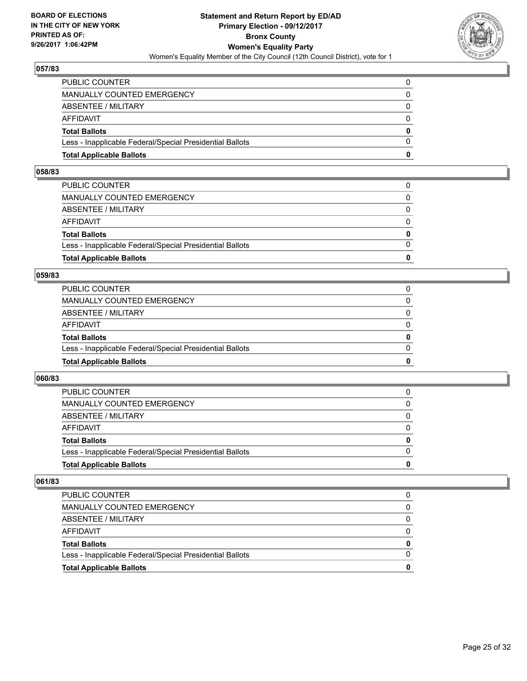

| <b>Total Applicable Ballots</b>                          | n            |
|----------------------------------------------------------|--------------|
| Less - Inapplicable Federal/Special Presidential Ballots | $\Omega$     |
| <b>Total Ballots</b>                                     | $\mathbf{0}$ |
| <b>AFFIDAVIT</b>                                         | $\Omega$     |
| <b>ABSENTEE / MILITARY</b>                               | $\Omega$     |
| <b>MANUALLY COUNTED EMERGENCY</b>                        | 0            |
| PUBLIC COUNTER                                           | 0            |

#### **058/83**

| PUBLIC COUNTER                                           | 0            |
|----------------------------------------------------------|--------------|
| MANUALLY COUNTED EMERGENCY                               | 0            |
| ABSENTEE / MILITARY                                      | $\Omega$     |
| AFFIDAVIT                                                | $\Omega$     |
| <b>Total Ballots</b>                                     | $\mathbf{0}$ |
| Less - Inapplicable Federal/Special Presidential Ballots | $\Omega$     |
| <b>Total Applicable Ballots</b>                          | 0            |
|                                                          |              |

#### **059/83**

| <b>Total Applicable Ballots</b>                          | 0            |
|----------------------------------------------------------|--------------|
| Less - Inapplicable Federal/Special Presidential Ballots | $\Omega$     |
| <b>Total Ballots</b>                                     | $\mathbf{0}$ |
| <b>AFFIDAVIT</b>                                         | $\Omega$     |
| <b>ABSENTEE / MILITARY</b>                               | 0            |
| MANUALLY COUNTED EMERGENCY                               | $\Omega$     |
| PUBLIC COUNTER                                           |              |

# **060/83**

| <b>Total Applicable Ballots</b>                          | o |
|----------------------------------------------------------|---|
| Less - Inapplicable Federal/Special Presidential Ballots | 0 |
| <b>Total Ballots</b>                                     | 0 |
| <b>AFFIDAVIT</b>                                         |   |
| ABSENTEE / MILITARY                                      | 0 |
| <b>MANUALLY COUNTED EMERGENCY</b>                        | 0 |
| <b>PUBLIC COUNTER</b>                                    |   |

| <b>Total Applicable Ballots</b>                          | 0 |
|----------------------------------------------------------|---|
| Less - Inapplicable Federal/Special Presidential Ballots |   |
| <b>Total Ballots</b>                                     | 0 |
| AFFIDAVIT                                                |   |
| ABSENTEE / MILITARY                                      |   |
| MANUALLY COUNTED EMERGENCY                               | 0 |
| <b>PUBLIC COUNTER</b>                                    |   |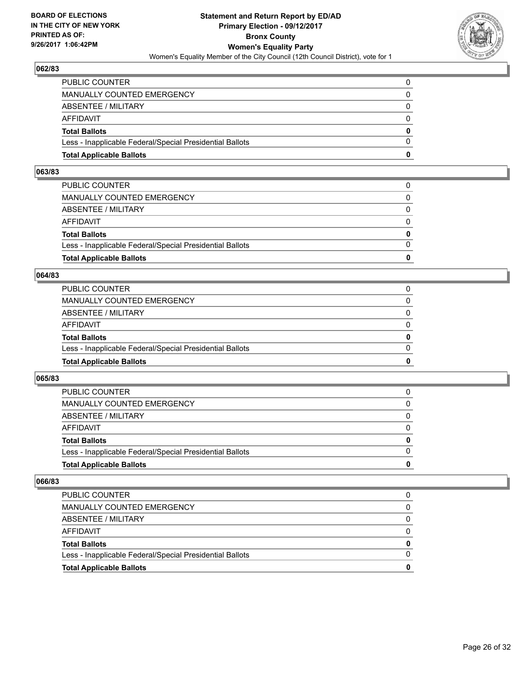

| <b>Total Applicable Ballots</b>                          | o        |
|----------------------------------------------------------|----------|
| Less - Inapplicable Federal/Special Presidential Ballots | $\Omega$ |
| <b>Total Ballots</b>                                     | $\bf{0}$ |
| AFFIDAVIT                                                | 0        |
| ABSENTEE / MILITARY                                      | 0        |
| MANUALLY COUNTED EMERGENCY                               | 0        |
| PUBLIC COUNTER                                           | 0        |

#### **063/83**

| PUBLIC COUNTER                                           | 0        |
|----------------------------------------------------------|----------|
| MANUALLY COUNTED EMERGENCY                               | $\Omega$ |
| ABSENTEE / MILITARY                                      | $\Omega$ |
| AFFIDAVIT                                                | $\Omega$ |
| <b>Total Ballots</b>                                     | 0        |
| Less - Inapplicable Federal/Special Presidential Ballots | $\Omega$ |
| <b>Total Applicable Ballots</b>                          | 0        |
|                                                          |          |

# **064/83**

| <b>Total Applicable Ballots</b>                          | 0        |
|----------------------------------------------------------|----------|
| Less - Inapplicable Federal/Special Presidential Ballots | $\Omega$ |
| <b>Total Ballots</b>                                     | 0        |
| <b>AFFIDAVIT</b>                                         | 0        |
| ABSENTEE / MILITARY                                      | $\Omega$ |
| <b>MANUALLY COUNTED EMERGENCY</b>                        | 0        |
| PUBLIC COUNTER                                           |          |

# **065/83**

| <b>Total Applicable Ballots</b>                          | 0        |
|----------------------------------------------------------|----------|
| Less - Inapplicable Federal/Special Presidential Ballots |          |
| <b>Total Ballots</b>                                     | $\bf{0}$ |
| <b>AFFIDAVIT</b>                                         |          |
| ABSENTEE / MILITARY                                      | 0        |
| MANUALLY COUNTED EMERGENCY                               | 0        |
| <b>PUBLIC COUNTER</b>                                    | 0        |

| <b>Total Applicable Ballots</b>                          |   |
|----------------------------------------------------------|---|
| Less - Inapplicable Federal/Special Presidential Ballots |   |
| <b>Total Ballots</b>                                     | 0 |
| AFFIDAVIT                                                |   |
| ABSENTEE / MILITARY                                      |   |
| MANUALLY COUNTED EMERGENCY                               |   |
| <b>PUBLIC COUNTER</b>                                    |   |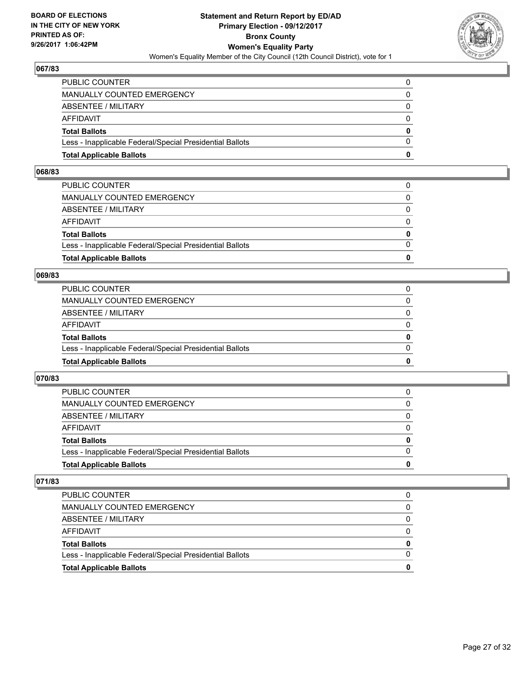

| <b>Total Applicable Ballots</b>                          | o        |
|----------------------------------------------------------|----------|
| Less - Inapplicable Federal/Special Presidential Ballots | 0        |
| <b>Total Ballots</b>                                     | $\bf{0}$ |
| <b>AFFIDAVIT</b>                                         | $\Omega$ |
| <b>ABSENTEE / MILITARY</b>                               | 0        |
| <b>MANUALLY COUNTED EMERGENCY</b>                        | $\Omega$ |
| PUBLIC COUNTER                                           | 0        |

#### **068/83**

| PUBLIC COUNTER                                           | 0        |
|----------------------------------------------------------|----------|
| MANUALLY COUNTED EMERGENCY                               | $\Omega$ |
| ABSENTEE / MILITARY                                      | $\Omega$ |
| AFFIDAVIT                                                | $\Omega$ |
| <b>Total Ballots</b>                                     | 0        |
| Less - Inapplicable Federal/Special Presidential Ballots | $\Omega$ |
| <b>Total Applicable Ballots</b>                          | 0        |
|                                                          |          |

# **069/83**

| <b>Total Applicable Ballots</b>                          | 0        |
|----------------------------------------------------------|----------|
| Less - Inapplicable Federal/Special Presidential Ballots | $\Omega$ |
| <b>Total Ballots</b>                                     | 0        |
| <b>AFFIDAVIT</b>                                         | 0        |
| ABSENTEE / MILITARY                                      | $\Omega$ |
| <b>MANUALLY COUNTED EMERGENCY</b>                        | 0        |
| PUBLIC COUNTER                                           |          |

# **070/83**

| <b>Total Applicable Ballots</b>                          | o |
|----------------------------------------------------------|---|
| Less - Inapplicable Federal/Special Presidential Ballots | 0 |
| <b>Total Ballots</b>                                     | 0 |
| <b>AFFIDAVIT</b>                                         |   |
| ABSENTEE / MILITARY                                      | 0 |
| <b>MANUALLY COUNTED EMERGENCY</b>                        | 0 |
| <b>PUBLIC COUNTER</b>                                    |   |

| <b>Total Applicable Ballots</b>                          | 0 |
|----------------------------------------------------------|---|
| Less - Inapplicable Federal/Special Presidential Ballots |   |
| <b>Total Ballots</b>                                     | 0 |
| AFFIDAVIT                                                |   |
| ABSENTEE / MILITARY                                      |   |
| MANUALLY COUNTED EMERGENCY                               | 0 |
| <b>PUBLIC COUNTER</b>                                    |   |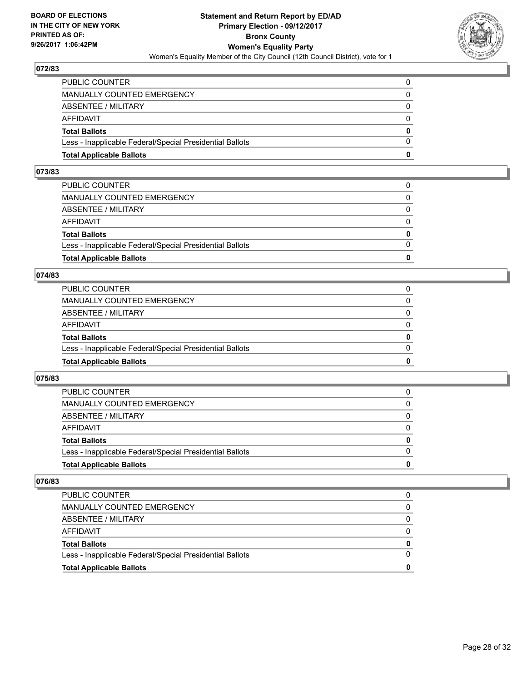

| <b>Total Applicable Ballots</b>                          | n        |
|----------------------------------------------------------|----------|
| Less - Inapplicable Federal/Special Presidential Ballots | $\Omega$ |
| <b>Total Ballots</b>                                     | $\bf{0}$ |
| AFFIDAVIT                                                | $\Omega$ |
| <b>ABSENTEE / MILITARY</b>                               | $\Omega$ |
| MANUALLY COUNTED EMERGENCY                               | 0        |
| PUBLIC COUNTER                                           | 0        |

#### **073/83**

| 0            |
|--------------|
| $\Omega$     |
| $\mathbf{0}$ |
| $\Omega$     |
| $\Omega$     |
| $\Omega$     |
| 0            |
|              |

# **074/83**

| <b>Total Applicable Ballots</b>                          | 0        |
|----------------------------------------------------------|----------|
| Less - Inapplicable Federal/Special Presidential Ballots | 0        |
| <b>Total Ballots</b>                                     | 0        |
| AFFIDAVIT                                                | 0        |
| <b>ABSENTEE / MILITARY</b>                               | $\Omega$ |
| MANUALLY COUNTED EMERGENCY                               |          |
| PUBLIC COUNTER                                           |          |

# **075/83**

| <b>Total Applicable Ballots</b>                          | 0        |
|----------------------------------------------------------|----------|
| Less - Inapplicable Federal/Special Presidential Ballots |          |
| <b>Total Ballots</b>                                     | $\bf{0}$ |
| <b>AFFIDAVIT</b>                                         |          |
| ABSENTEE / MILITARY                                      | 0        |
| MANUALLY COUNTED EMERGENCY                               | 0        |
| <b>PUBLIC COUNTER</b>                                    | 0        |

| <b>Total Applicable Ballots</b>                          |   |
|----------------------------------------------------------|---|
| Less - Inapplicable Federal/Special Presidential Ballots |   |
| <b>Total Ballots</b>                                     | 0 |
| AFFIDAVIT                                                |   |
| ABSENTEE / MILITARY                                      |   |
| MANUALLY COUNTED EMERGENCY                               |   |
| PUBLIC COUNTER                                           |   |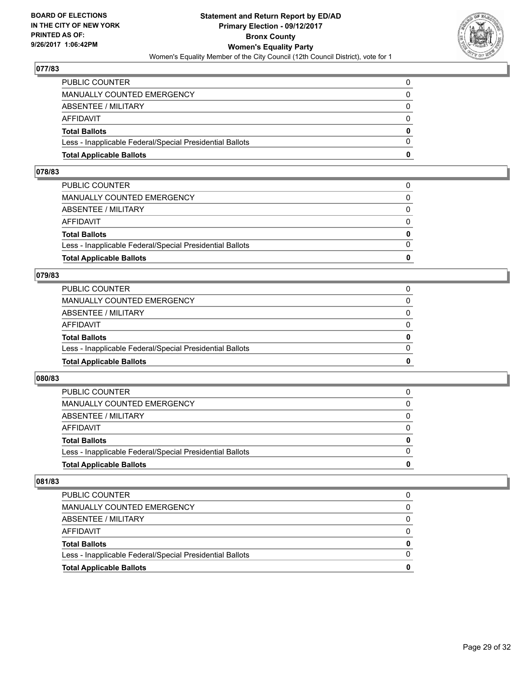

| <b>Total Applicable Ballots</b>                          | n        |
|----------------------------------------------------------|----------|
| Less - Inapplicable Federal/Special Presidential Ballots | $\Omega$ |
| <b>Total Ballots</b>                                     | $\bf{0}$ |
| AFFIDAVIT                                                | $\Omega$ |
| <b>ABSENTEE / MILITARY</b>                               | $\Omega$ |
| MANUALLY COUNTED EMERGENCY                               | 0        |
| PUBLIC COUNTER                                           | 0        |

#### **078/83**

| PUBLIC COUNTER                                           | 0            |
|----------------------------------------------------------|--------------|
| MANUALLY COUNTED EMERGENCY                               | 0            |
| ABSENTEE / MILITARY                                      | $\Omega$     |
| AFFIDAVIT                                                | $\Omega$     |
| <b>Total Ballots</b>                                     | $\mathbf{0}$ |
| Less - Inapplicable Federal/Special Presidential Ballots | $\Omega$     |
| <b>Total Applicable Ballots</b>                          | 0            |
|                                                          |              |

#### **079/83**

| <b>Total Applicable Ballots</b>                          | 0        |
|----------------------------------------------------------|----------|
| Less - Inapplicable Federal/Special Presidential Ballots | $\Omega$ |
| <b>Total Ballots</b>                                     | 0        |
| AFFIDAVIT                                                | $\Omega$ |
| <b>ABSENTEE / MILITARY</b>                               | $\Omega$ |
| <b>MANUALLY COUNTED EMERGENCY</b>                        |          |
| PUBLIC COUNTER                                           |          |

# **080/83**

| <b>Total Applicable Ballots</b>                          | o |
|----------------------------------------------------------|---|
| Less - Inapplicable Federal/Special Presidential Ballots | 0 |
| <b>Total Ballots</b>                                     | 0 |
| <b>AFFIDAVIT</b>                                         |   |
| ABSENTEE / MILITARY                                      | 0 |
| <b>MANUALLY COUNTED EMERGENCY</b>                        | 0 |
| <b>PUBLIC COUNTER</b>                                    |   |

| <b>Total Applicable Ballots</b>                          | 0 |
|----------------------------------------------------------|---|
| Less - Inapplicable Federal/Special Presidential Ballots |   |
| <b>Total Ballots</b>                                     | 0 |
| AFFIDAVIT                                                |   |
| ABSENTEE / MILITARY                                      |   |
| MANUALLY COUNTED EMERGENCY                               | 0 |
| <b>PUBLIC COUNTER</b>                                    |   |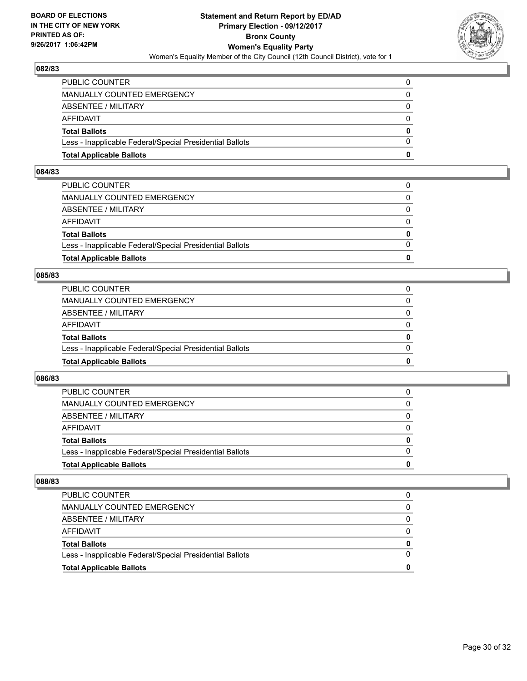

| <b>Total Applicable Ballots</b>                          | n            |
|----------------------------------------------------------|--------------|
| Less - Inapplicable Federal/Special Presidential Ballots | $\Omega$     |
| <b>Total Ballots</b>                                     | $\mathbf{0}$ |
| <b>AFFIDAVIT</b>                                         | $\Omega$     |
| <b>ABSENTEE / MILITARY</b>                               | $\Omega$     |
| <b>MANUALLY COUNTED EMERGENCY</b>                        | 0            |
| PUBLIC COUNTER                                           | 0            |

#### **084/83**

| PUBLIC COUNTER                                           | 0        |
|----------------------------------------------------------|----------|
| MANUALLY COUNTED EMERGENCY                               | $\Omega$ |
| ABSENTEE / MILITARY                                      | $\Omega$ |
| AFFIDAVIT                                                | $\Omega$ |
| <b>Total Ballots</b>                                     | 0        |
| Less - Inapplicable Federal/Special Presidential Ballots | $\Omega$ |
| <b>Total Applicable Ballots</b>                          | 0        |
|                                                          |          |

#### **085/83**

| <b>Total Applicable Ballots</b>                          | 0        |
|----------------------------------------------------------|----------|
| Less - Inapplicable Federal/Special Presidential Ballots | $\Omega$ |
| <b>Total Ballots</b>                                     | 0        |
| <b>AFFIDAVIT</b>                                         | 0        |
| ABSENTEE / MILITARY                                      | $\Omega$ |
| <b>MANUALLY COUNTED EMERGENCY</b>                        | 0        |
| PUBLIC COUNTER                                           |          |

# **086/83**

| <b>Total Applicable Ballots</b>                          | o            |
|----------------------------------------------------------|--------------|
| Less - Inapplicable Federal/Special Presidential Ballots | <sup>0</sup> |
| <b>Total Ballots</b>                                     | 0            |
| <b>AFFIDAVIT</b>                                         |              |
| ABSENTEE / MILITARY                                      | 0            |
| <b>MANUALLY COUNTED EMERGENCY</b>                        | 0            |
| <b>PUBLIC COUNTER</b>                                    |              |

| <b>Total Applicable Ballots</b>                          | 0 |
|----------------------------------------------------------|---|
| Less - Inapplicable Federal/Special Presidential Ballots |   |
| <b>Total Ballots</b>                                     | 0 |
| AFFIDAVIT                                                |   |
| ABSENTEE / MILITARY                                      |   |
| MANUALLY COUNTED EMERGENCY                               | 0 |
| <b>PUBLIC COUNTER</b>                                    | 0 |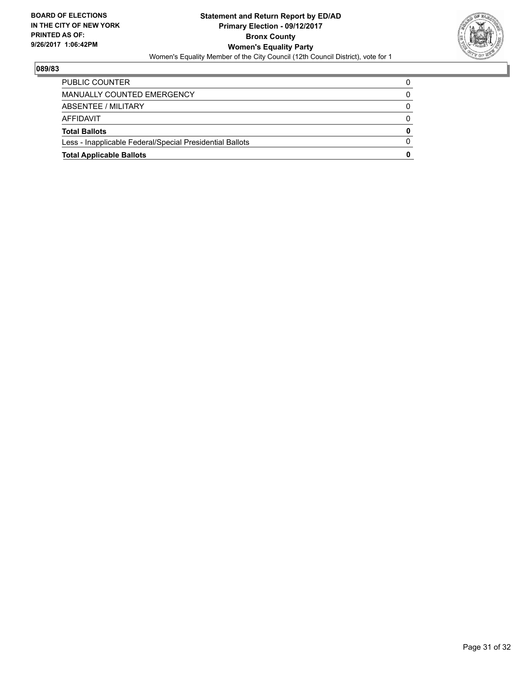

| <b>Total Applicable Ballots</b>                          | 0 |
|----------------------------------------------------------|---|
| Less - Inapplicable Federal/Special Presidential Ballots | 0 |
| <b>Total Ballots</b>                                     | 0 |
| AFFIDAVIT                                                | 0 |
| ABSENTEE / MILITARY                                      | 0 |
| MANUALLY COUNTED EMERGENCY                               |   |
| PUBLIC COUNTER                                           |   |